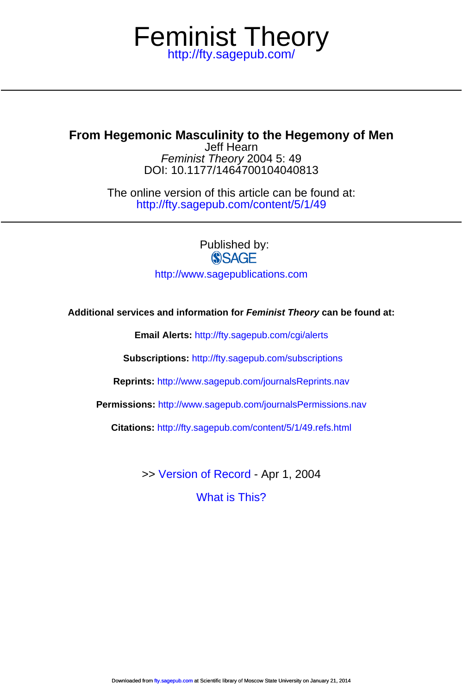# <http://fty.sagepub.com/> **Feminis[t Theory](http://fty.sagepub.com/content/5/1/49.refs.html)**

# **From Hegemonic Masculinity to the Hegemony of Men**

DOI: 10.1177/146470010[4040813](http://online.sagepub.com/site/sphelp/vorhelp.xhtml) Feminist Theory [2004 5: 49](http://fty.sagepub.com/content/5/1/49.full.pdf) Jeff Hearn

<http://fty.sagepub.com/content/5/1/49> The online version of this article can be found at:

> Published by: **SSAGE** <http://www.sagepublications.com>

**Additional services and information for Feminist Theory can be found at:**

**Email Alerts:** <http://fty.sagepub.com/cgi/alerts>

**Subscriptions:** <http://fty.sagepub.com/subscriptions>

**Reprints:** <http://www.sagepub.com/journalsReprints.nav>

**Permissions:** <http://www.sagepub.com/journalsPermissions.nav>

**Citations:** <http://fty.sagepub.com/content/5/1/49.refs.html>

>> [Version of Record -](http://fty.sagepub.com/content/5/1/49.full.pdf) Apr 1, 2004

[What is This?](http://online.sagepub.com/site/sphelp/vorhelp.xhtml)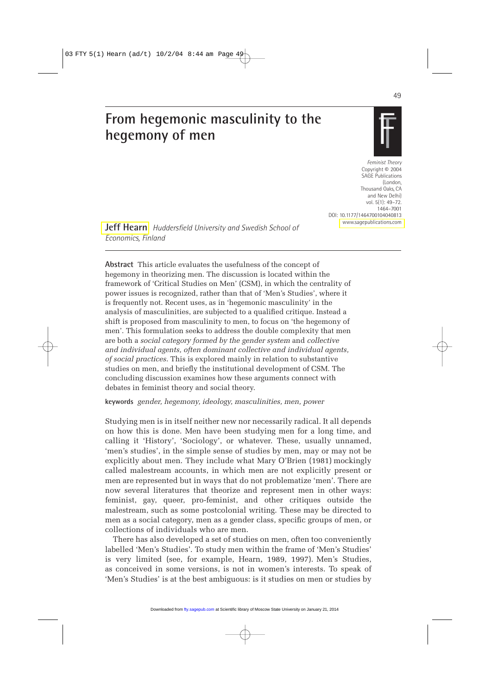# **From hegemonic masculinity to the hegemony of men**



*Feminist Theory* Copyright © 2004 SAGE Publications (London, Thousand Oaks, CA and New Delhi) vol. 5(1): 49–72. 1464–7001 DOI: 10.1177/1464700104040813 <www.sagepublications.com>

**[Jeff Hearn](#page-24-0)** *Huddersfield University and Swedish School of Economics, Finland*

**Abstract** This article evaluates the usefulness of the concept of hegemony in theorizing men. The discussion is located within the framework of 'Critical Studies on Men' (CSM), in which the centrality of power issues is recognized, rather than that of 'Men's Studies', where it is frequently not. Recent uses, as in 'hegemonic masculinity' in the analysis of masculinities, are subjected to a qualified critique. Instead a shift is proposed from masculinity to men, to focus on 'the hegemony of men'. This formulation seeks to address the double complexity that men are both a *social category formed by the gender system* and *collective and individual agents, often dominant collective and individual agents, of social practices*. This is explored mainly in relation to substantive studies on men, and briefly the institutional development of CSM. The concluding discussion examines how these arguments connect with debates in feminist theory and social theory.

**keywords** *gender, hegemony, ideology, masculinities, men, power*

Studying men is in itself neither new nor necessarily radical. It all depends on how this is done. Men have been studying men for a long time, and calling it 'History', 'Sociology', or whatever. These, usually unnamed, 'men's studies', in the simple sense of studies by men, may or may not be explicitly about men. They include what Mary O'Brien (1981) mockingly called malestream accounts, in which men are not explicitly present or men are represented but in ways that do not problematize 'men'. There are now several literatures that theorize and represent men in other ways: feminist, gay, queer, pro-feminist, and other critiques outside the malestream, such as some postcolonial writing. These may be directed to men as a social category, men as a gender class, specifi[c groups o](http://fty.sagepub.com/)f men, or collections of individuals who are men.

There has also developed a set of studies on men, often too conveniently labelled 'Men's Studies'. To study men within the frame of 'Men's Studies' is very limited (see, for example, Hearn, 1989, 1997). Men's Studies, as conceived in some versions, is not in women's interests. To speak of 'Men's Studies' is at the best ambiguous: is it studies on men or studies by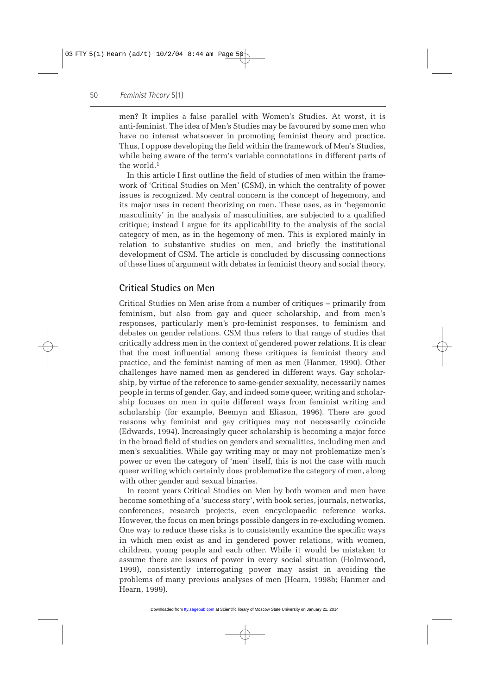men? It implies a false parallel with Women's Studies. At worst, it is anti-feminist. The idea of Men's Studies may be favoured by some men who have no interest whatsoever in promoting feminist theory and practice. Thus, I oppose developing the field within the framework of Men's Studies, while being aware of the term's variable connotations in different parts of the world.1

In this article I first outline the field of studies of men within the framework of 'Critical Studies on Men' (CSM), in which the centrality of power issues is recognized. My central concern is the concept of hegemony, and its major uses in recent theorizing on men. These uses, as in 'hegemonic masculinity' in the analysis of masculinities, are subjected to a qualified critique; instead I argue for its applicability to the analysis of the social category of men, as in the hegemony of men. This is explored mainly in relation to substantive studies on men, and briefly the institutional development of CSM. The article is concluded by discussing connections of these lines of argument with debates in feminist theory and social theory.

## **Critical Studies on Men**

Critical Studies on Men arise from a number of critiques – primarily from feminism, but also from gay and queer scholarship, and from men's responses, particularly men's pro-feminist responses, to feminism and debates on gender relations. CSM thus refers to that range of studies that critically address men in the context of gendered power relations. It is clear that the most influential among these critiques is feminist theory and practice, and the feminist naming of men as men (Hanmer, 1990). Other challenges have named men as gendered in different ways. Gay scholarship, by virtue of the reference to same-gender sexuality, necessarily names people in terms of gender. Gay, and indeed some queer, writing and scholarship focuses on men in quite different ways from feminist writing and scholarship (for example, Beemyn and Eliason, 1996). There are good reasons why feminist and gay critiques may not necessarily coincide (Edwards, 1994). Increasingly queer scholarship is becoming a major force in the broad field of studies on genders and sexualities, including men and men's sexualities. While gay writing may or may not problematize men's power or even the category of 'men' itself, this is not the case with much queer writing which certainly does problematize the category of men, along with other gender and sexual binaries.

In recent years Critical Studies on Men by both women and men have become something of a 'success story', with book series, journals, networks, conferences, research projects, even encyclopaedic reference works. However, the focus on men brings possible dangers i[n re-exclu](http://fty.sagepub.com/)ding women. One way to reduce these risks is to consistently examine the specific ways in which men exist as and in gendered power relations, with women, children, young people and each other. While it would be mistaken to assume there are issues of power in every social situation (Holmwood, 1999), consistently interrogating power may assist in avoiding the problems of many previous analyses of men (Hearn, 1998b; Hanmer and Hearn, 1999).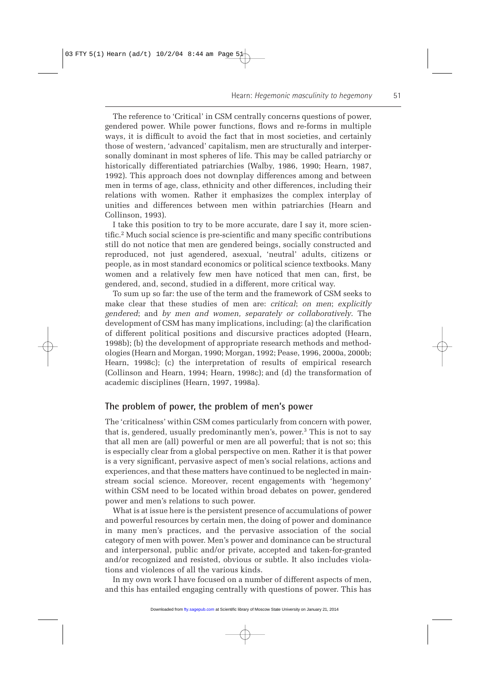The reference to 'Critical' in CSM centrally concerns questions of power, gendered power. While power functions, flows and re-forms in multiple ways, it is difficult to avoid the fact that in most societies, and certainly those of western, 'advanced' capitalism, men are structurally and interpersonally dominant in most spheres of life. This may be called patriarchy or historically differentiated patriarchies (Walby, 1986, 1990; Hearn, 1987, 1992). This approach does not downplay differences among and between men in terms of age, class, ethnicity and other differences, including their relations with women. Rather it emphasizes the complex interplay of unities and differences between men within patriarchies (Hearn and Collinson, 1993).

I take this position to try to be more accurate, dare I say it, more scientific.2 Much social science is pre-scientific and many specific contributions still do not notice that men are gendered beings, socially constructed and reproduced, not just agendered, asexual, 'neutral' adults, citizens or people, as in most standard economics or political science textbooks. Many women and a relatively few men have noticed that men can, first, be gendered, and, second, studied in a different, more critical way.

To sum up so far: the use of the term and the framework of CSM seeks to make clear that these studies of men are: *critical*; *on men*; *explicitly gendered*; and *by men and women, separately or collaboratively*. The development of CSM has many implications, including: (a) the clarification of different political positions and discursive practices adopted (Hearn, 1998b); (b) the development of appropriate research methods and methodologies (Hearn and Morgan, 1990; Morgan, 1992; Pease, 1996, 2000a, 2000b; Hearn, 1998c); (c) the interpretation of results of empirical research (Collinson and Hearn, 1994; Hearn, 1998c); and (d) the transformation of academic disciplines (Hearn, 1997, 1998a).

### **The problem of power, the problem of men's power**

The 'criticalness' within CSM comes particularly from concern with power, that is, gendered, usually predominantly men's, power.<sup>3</sup> This is not to say that all men are (all) powerful or men are all powerful; that is not so; this is especially clear from a global perspective on men. Rather it is that power is a very significant, pervasive aspect of men's social relations, actions and experiences, and that these matters have continued to be neglected in mainstream social science. Moreover, recent engagements with 'hegemony' within CSM need to be located within broad debates on power, gendered power and men's relations to such power.

What is at issue here is the persistent presence of accumulations of power and powerful resources by certain men, the doing of po[wer and do](http://fty.sagepub.com/)minance in many men's practices, and the pervasive association of the social category of men with power. Men's power and dominance can be structural and interpersonal, public and/or private, accepted and taken-for-granted and/or recognized and resisted, obvious or subtle. It also includes violations and violences of all the various kinds.

In my own work I have focused on a number of different aspects of men, and this has entailed engaging centrally with questions of power. This has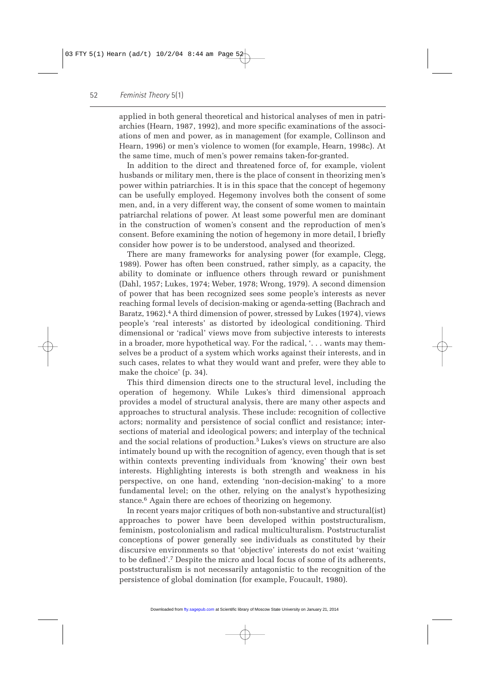applied in both general theoretical and historical analyses of men in patriarchies (Hearn, 1987, 1992), and more specific examinations of the associations of men and power, as in management (for example, Collinson and Hearn, 1996) or men's violence to women (for example, Hearn, 1998c). At the same time, much of men's power remains taken-for-granted.

In addition to the direct and threatened force of, for example, violent husbands or military men, there is the place of consent in theorizing men's power within patriarchies. It is in this space that the concept of hegemony can be usefully employed. Hegemony involves both the consent of some men, and, in a very different way, the consent of some women to maintain patriarchal relations of power. At least some powerful men are dominant in the construction of women's consent and the reproduction of men's consent. Before examining the notion of hegemony in more detail, I briefly consider how power is to be understood, analysed and theorized.

There are many frameworks for analysing power (for example, Clegg, 1989). Power has often been construed, rather simply, as a capacity, the ability to dominate or influence others through reward or punishment (Dahl, 1957; Lukes, 1974; Weber, 1978; Wrong, 1979). A second dimension of power that has been recognized sees some people's interests as never reaching formal levels of decision-making or agenda-setting (Bachrach and Baratz, 1962).<sup>4</sup> A third dimension of power, stressed by Lukes (1974), views people's 'real interests' as distorted by ideological conditioning. Third dimensional or 'radical' views move from subjective interests to interests in a broader, more hypothetical way. For the radical, '. . . wants may themselves be a product of a system which works against their interests, and in such cases, relates to what they would want and prefer, were they able to make the choice' (p. 34).

This third dimension directs one to the structural level, including the operation of hegemony. While Lukes's third dimensional approach provides a model of structural analysis, there are many other aspects and approaches to structural analysis. These include: recognition of collective actors; normality and persistence of social conflict and resistance; intersections of material and ideological powers; and interplay of the technical and the social relations of production.5 Lukes's views on structure are also intimately bound up with the recognition of agency, even though that is set within contexts preventing individuals from 'knowing' their own best interests. Highlighting interests is both strength and weakness in his perspective, on one hand, extending 'non-decision-making' to a more fundamental level; on the other, relying on the analyst's hypothesizing stance.6 Again there are echoes of theorizing on hegemony.

In recent years major critiques of both non-substantive and structural(ist) approaches to power have been developed wit[hin posts](http://fty.sagepub.com/)tructuralism, feminism, postcolonialism and radical multiculturalism. Poststructuralist conceptions of power generally see individuals as constituted by their discursive environments so that 'objective' interests do not exist 'waiting to be defined'.7 Despite the micro and local focus of some of its adherents, poststructuralism is not necessarily antagonistic to the recognition of the persistence of global domination (for example, Foucault, 1980).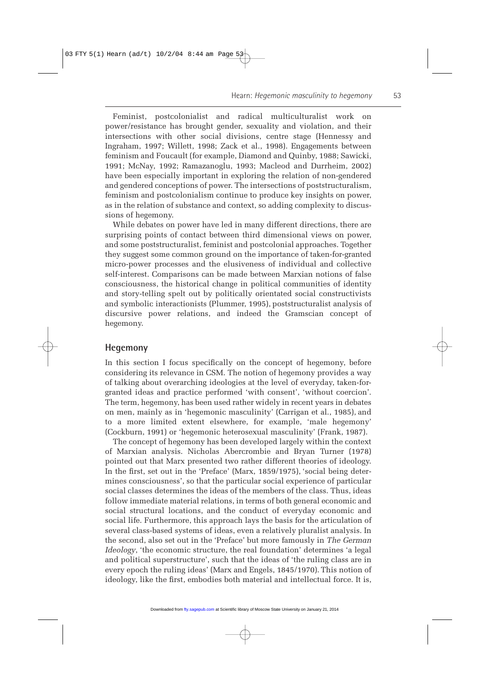Feminist, postcolonialist and radical multiculturalist work on power/resistance has brought gender, sexuality and violation, and their intersections with other social divisions, centre stage (Hennessy and Ingraham, 1997; Willett, 1998; Zack et al., 1998). Engagements between feminism and Foucault (for example, Diamond and Quinby, 1988; Sawicki, 1991; McNay, 1992; Ramazanoglu, 1993; Macleod and Durrheim, 2002) have been especially important in exploring the relation of non-gendered and gendered conceptions of power. The intersections of poststructuralism, feminism and postcolonialism continue to produce key insights on power, as in the relation of substance and context, so adding complexity to discussions of hegemony.

While debates on power have led in many different directions, there are surprising points of contact between third dimensional views on power, and some poststructuralist, feminist and postcolonial approaches. Together they suggest some common ground on the importance of taken-for-granted micro-power processes and the elusiveness of individual and collective self-interest. Comparisons can be made between Marxian notions of false consciousness, the historical change in political communities of identity and story-telling spelt out by politically orientated social constructivists and symbolic interactionists (Plummer, 1995), poststructuralist analysis of discursive power relations, and indeed the Gramscian concept of hegemony.

#### **Hegemony**

In this section I focus specifically on the concept of hegemony, before considering its relevance in CSM. The notion of hegemony provides a way of talking about overarching ideologies at the level of everyday, taken-forgranted ideas and practice performed 'with consent', 'without coercion'. The term, hegemony, has been used rather widely in recent years in debates on men, mainly as in 'hegemonic masculinity' (Carrigan et al., 1985), and to a more limited extent elsewhere, for example, 'male hegemony' (Cockburn, 1991) or 'hegemonic heterosexual masculinity' (Frank, 1987).

The concept of hegemony has been developed largely within the context of Marxian analysis. Nicholas Abercrombie and Bryan Turner (1978) pointed out that Marx presented two rather different theories of ideology. In the first, set out in the 'Preface' (Marx, 1859/1975), 'social being determines consciousness', so that the particular social experience of particular social classes determines the ideas of the members of the class. Thus, ideas follow immediate material relations, in terms of both general economic and social structural locations, and the conduct of everyday economic and social life. Furthermore, this approach lays the basis fo[r the articu](http://fty.sagepub.com/)lation of several class-based systems of ideas, even a relatively pluralist analysis. In the second, also set out in the 'Preface' but more famously in *The German Ideology*, 'the economic structure, the real foundation' determines 'a legal and political superstructure', such that the ideas of 'the ruling class are in every epoch the ruling ideas' (Marx and Engels, 1845/1970). This notion of ideology, like the first, embodies both material and intellectual force. It is,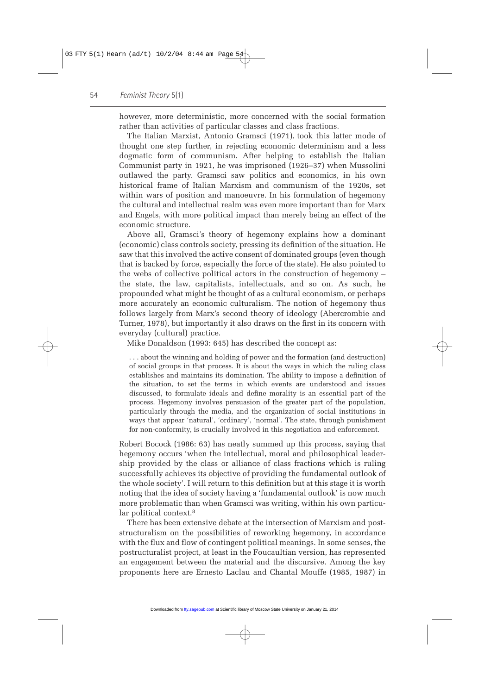however, more deterministic, more concerned with the social formation rather than activities of particular classes and class fractions.

The Italian Marxist, Antonio Gramsci (1971), took this latter mode of thought one step further, in rejecting economic determinism and a less dogmatic form of communism. After helping to establish the Italian Communist party in 1921, he was imprisoned (1926–37) when Mussolini outlawed the party. Gramsci saw politics and economics, in his own historical frame of Italian Marxism and communism of the 1920s, set within wars of position and manoeuvre. In his formulation of hegemony the cultural and intellectual realm was even more important than for Marx and Engels, with more political impact than merely being an effect of the economic structure.

Above all, Gramsci's theory of hegemony explains how a dominant (economic) class controls society, pressing its definition of the situation. He saw that this involved the active consent of dominated groups (even though that is backed by force, especially the force of the state). He also pointed to the webs of collective political actors in the construction of hegemony – the state, the law, capitalists, intellectuals, and so on. As such, he propounded what might be thought of as a cultural economism, or perhaps more accurately an economic culturalism. The notion of hegemony thus follows largely from Marx's second theory of ideology (Abercrombie and Turner, 1978), but importantly it also draws on the first in its concern with everyday (cultural) practice.

Mike Donaldson (1993: 645) has described the concept as:

. . . about the winning and holding of power and the formation (and destruction) of social groups in that process. It is about the ways in which the ruling class establishes and maintains its domination. The ability to impose a definition of the situation, to set the terms in which events are understood and issues discussed, to formulate ideals and define morality is an essential part of the process. Hegemony involves persuasion of the greater part of the population, particularly through the media, and the organization of social institutions in ways that appear 'natural', 'ordinary', 'normal'. The state, through punishment for non-conformity, is crucially involved in this negotiation and enforcement.

Robert Bocock (1986: 63) has neatly summed up this process, saying that hegemony occurs 'when the intellectual, moral and philosophical leadership provided by the class or alliance of class fractions which is ruling successfully achieves its objective of providing the fundamental outlook of the whole society'. I will return to this definition but at this stage it is worth noting that the idea of society having a 'fundamental outlook' is now much more problematic than when Gramsci was writing, within his own particular political context.<sup>8</sup>

There has been extensive debate at the intersectio[n of Marxi](http://fty.sagepub.com/)sm and poststructuralism on the possibilities of reworking hegemony, in accordance with the flux and flow of contingent political meanings. In some senses, the postructuralist project, at least in the Foucaultian version, has represented an engagement between the material and the discursive. Among the key proponents here are Ernesto Laclau and Chantal Mouffe (1985, 1987) in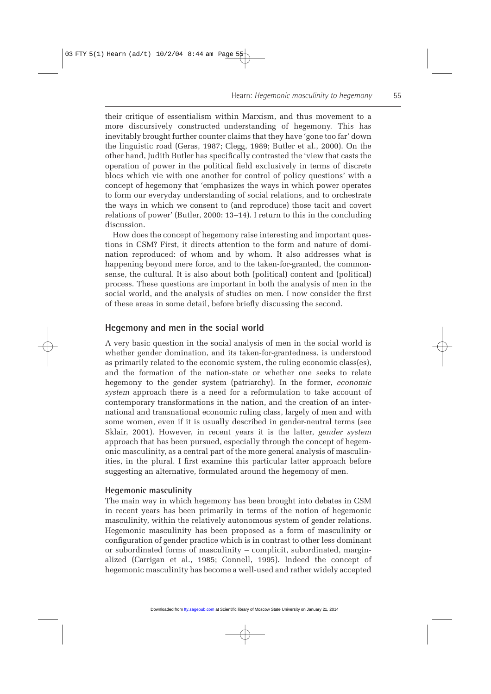their critique of essentialism within Marxism, and thus movement to a more discursively constructed understanding of hegemony. This has inevitably brought further counter claims that they have 'gone too far' down the linguistic road (Geras, 1987; Clegg, 1989; Butler et al., 2000). On the other hand, Judith Butler has specifically contrasted the 'view that casts the operation of power in the political field exclusively in terms of discrete blocs which vie with one another for control of policy questions' with a concept of hegemony that 'emphasizes the ways in which power operates to form our everyday understanding of social relations, and to orchestrate the ways in which we consent to (and reproduce) those tacit and covert relations of power' (Butler, 2000: 13–14). I return to this in the concluding discussion.

How does the concept of hegemony raise interesting and important questions in CSM? First, it directs attention to the form and nature of domination reproduced: of whom and by whom. It also addresses what is happening beyond mere force, and to the taken-for-granted, the commonsense, the cultural. It is also about both (political) content and (political) process. These questions are important in both the analysis of men in the social world, and the analysis of studies on men. I now consider the first of these areas in some detail, before briefly discussing the second.

## **Hegemony and men in the social world**

A very basic question in the social analysis of men in the social world is whether gender domination, and its taken-for-grantedness, is understood as primarily related to the economic system, the ruling economic class(es), and the formation of the nation-state or whether one seeks to relate hegemony to the gender system (patriarchy). In the former, *economic system* approach there is a need for a reformulation to take account of contemporary transformations in the nation, and the creation of an international and transnational economic ruling class, largely of men and with some women, even if it is usually described in gender-neutral terms (see Sklair, 2001). However, in recent years it is the latter, *gender system* approach that has been pursued, especially through the concept of hegemonic masculinity, as a central part of the more general analysis of masculinities, in the plural. I first examine this particular latter approach before suggesting an alternative, formulated around the hegemony of men.

#### **Hegemonic masculinity**

The main way in which hegemony has been brought into debates in CSM in recent years has been primarily in terms of the notion of hegemonic masculinity, within the relatively autonomous system [of gender](http://fty.sagepub.com/) relations. Hegemonic masculinity has been proposed as a form of masculinity or configuration of gender practice which is in contrast to other less dominant or subordinated forms of masculinity – complicit, subordinated, marginalized (Carrigan et al., 1985; Connell, 1995). Indeed the concept of hegemonic masculinity has become a well-used and rather widely accepted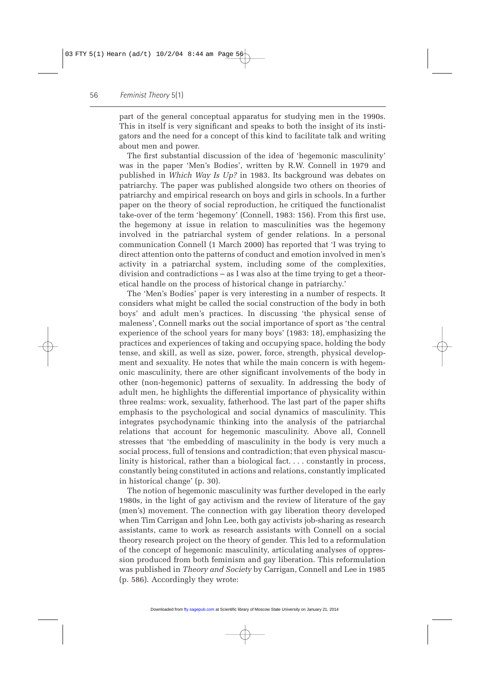part of the general conceptual apparatus for studying men in the 1990s. This in itself is very significant and speaks to both the insight of its instigators and the need for a concept of this kind to facilitate talk and writing about men and power.

The first substantial discussion of the idea of 'hegemonic masculinity' was in the paper 'Men's Bodies', written by R.W. Connell in 1979 and published in *Which Way Is Up?* in 1983. Its background was debates on patriarchy. The paper was published alongside two others on theories of patriarchy and empirical research on boys and girls in schools. In a further paper on the theory of social reproduction, he critiqued the functionalist take-over of the term 'hegemony' (Connell, 1983: 156). From this first use, the hegemony at issue in relation to masculinities was the hegemony involved in the patriarchal system of gender relations. In a personal communication Connell (1 March 2000) has reported that 'I was trying to direct attention onto the patterns of conduct and emotion involved in men's activity in a patriarchal system, including some of the complexities, division and contradictions – as I was also at the time trying to get a theoretical handle on the process of historical change in patriarchy.'

The 'Men's Bodies' paper is very interesting in a number of respects. It considers what might be called the social construction of the body in both boys' and adult men's practices. In discussing 'the physical sense of maleness', Connell marks out the social importance of sport as 'the central experience of the school years for many boys' (1983: 18), emphasizing the practices and experiences of taking and occupying space, holding the body tense, and skill, as well as size, power, force, strength, physical development and sexuality. He notes that while the main concern is with hegemonic masculinity, there are other significant involvements of the body in other (non-hegemonic) patterns of sexuality. In addressing the body of adult men, he highlights the differential importance of physicality within three realms: work, sexuality, fatherhood. The last part of the paper shifts emphasis to the psychological and social dynamics of masculinity. This integrates psychodynamic thinking into the analysis of the patriarchal relations that account for hegemonic masculinity. Above all, Connell stresses that 'the embedding of masculinity in the body is very much a social process, full of tensions and contradiction; that even physical masculinity is historical, rather than a biological fact. . . . constantly in process, constantly being constituted in actions and relations, constantly implicated in historical change' (p. 30).

The notion of hegemonic masculinity was further developed in the early 1980s, in the light of gay activism and the review of literature of the gay (men's) movement. The connection with gay liberation theory developed when Tim Carrigan and John Lee, both gay activists [job-sharin](http://fty.sagepub.com/)g as research assistants, came to work as research assistants with Connell on a social theory research project on the theory of gender. This led to a reformulation of the concept of hegemonic masculinity, articulating analyses of oppression produced from both feminism and gay liberation. This reformulation was published in *Theory and Society* by Carrigan, Connell and Lee in 1985 (p. 586). Accordingly they wrote: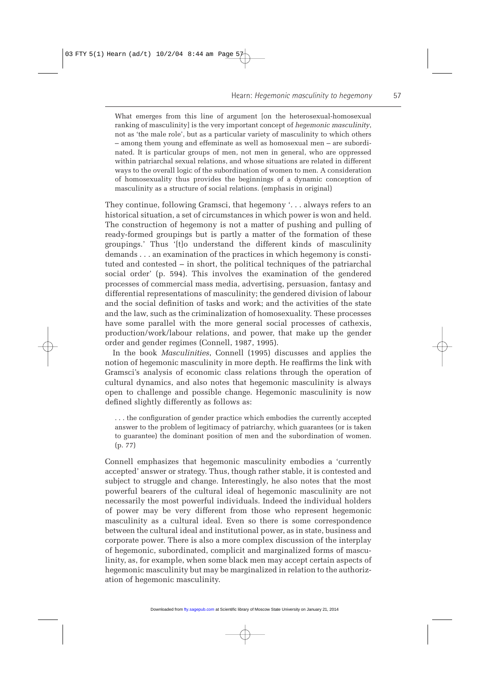What emerges from this line of argument [on the heterosexual-homosexual ranking of masculinity] is the very important concept of *hegemonic masculinity*, not as 'the male role', but as a particular variety of masculinity to which others – among them young and effeminate as well as homosexual men – are subordinated. It is particular groups of men, not men in general, who are oppressed within patriarchal sexual relations, and whose situations are related in different ways to the overall logic of the subordination of women to men. A consideration of homosexuality thus provides the beginnings of a dynamic conception of masculinity as a structure of social relations. (emphasis in original)

They continue, following Gramsci, that hegemony '. . . always refers to an historical situation, a set of circumstances in which power is won and held. The construction of hegemony is not a matter of pushing and pulling of ready-formed groupings but is partly a matter of the formation of these groupings.' Thus '[t]o understand the different kinds of masculinity demands . . . an examination of the practices in which hegemony is constituted and contested – in short, the political techniques of the patriarchal social order' (p. 594). This involves the examination of the gendered processes of commercial mass media, advertising, persuasion, fantasy and differential representations of masculinity; the gendered division of labour and the social definition of tasks and work; and the activities of the state and the law, such as the criminalization of homosexuality. These processes have some parallel with the more general social processes of cathexis, production/work/labour relations, and power, that make up the gender order and gender regimes (Connell, 1987, 1995).

In the book *Masculinities*, Connell (1995) discusses and applies the notion of hegemonic masculinity in more depth. He reaffirms the link with Gramsci's analysis of economic class relations through the operation of cultural dynamics, and also notes that hegemonic masculinity is always open to challenge and possible change. Hegemonic masculinity is now defined slightly differently as follows as:

. . . the configuration of gender practice which embodies the currently accepted answer to the problem of legitimacy of patriarchy, which guarantees (or is taken to guarantee) the dominant position of men and the subordination of women. (p. 77)

Connell emphasizes that hegemonic masculinity embodies a 'currently accepted' answer or strategy. Thus, though rather stable, it is contested and subject to struggle and change. Interestingly, he also notes that the most powerful bearers of the cultural ideal of hegemonic masculinity are not necessarily the most powerful individuals. Indeed the individual holders of power may be very different from those who represent hegemonic masculinity as a cultural ideal. Even so there is so[me corresp](http://fty.sagepub.com/)ondence between the cultural ideal and institutional power, as in state, business and corporate power. There is also a more complex discussion of the interplay of hegemonic, subordinated, complicit and marginalized forms of masculinity, as, for example, when some black men may accept certain aspects of hegemonic masculinity but may be marginalized in relation to the authorization of hegemonic masculinity.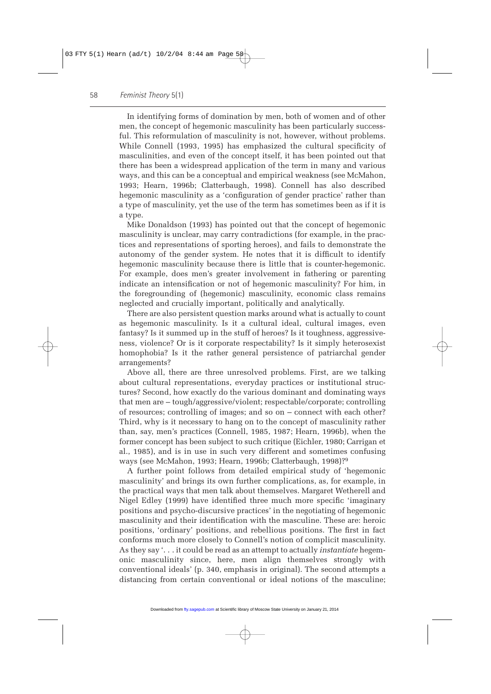In identifying forms of domination by men, both of women and of other men, the concept of hegemonic masculinity has been particularly successful. This reformulation of masculinity is not, however, without problems. While Connell (1993, 1995) has emphasized the cultural specificity of masculinities, and even of the concept itself, it has been pointed out that there has been a widespread application of the term in many and various ways, and this can be a conceptual and empirical weakness (see McMahon, 1993; Hearn, 1996b; Clatterbaugh, 1998). Connell has also described hegemonic masculinity as a 'configuration of gender practice' rather than a type of masculinity, yet the use of the term has sometimes been as if it is a type.

Mike Donaldson (1993) has pointed out that the concept of hegemonic masculinity is unclear, may carry contradictions (for example, in the practices and representations of sporting heroes), and fails to demonstrate the autonomy of the gender system. He notes that it is difficult to identify hegemonic masculinity because there is little that is counter-hegemonic. For example, does men's greater involvement in fathering or parenting indicate an intensification or not of hegemonic masculinity? For him, in the foregrounding of (hegemonic) masculinity, economic class remains neglected and crucially important, politically and analytically.

There are also persistent question marks around what is actually to count as hegemonic masculinity. Is it a cultural ideal, cultural images, even fantasy? Is it summed up in the stuff of heroes? Is it toughness, aggressiveness, violence? Or is it corporate respectability? Is it simply heterosexist homophobia? Is it the rather general persistence of patriarchal gender arrangements?

Above all, there are three unresolved problems. First, are we talking about cultural representations, everyday practices or institutional structures? Second, how exactly do the various dominant and dominating ways that men are – tough/aggressive/violent; respectable/corporate; controlling of resources; controlling of images; and so on – connect with each other? Third, why is it necessary to hang on to the concept of masculinity rather than, say, men's practices (Connell, 1985, 1987; Hearn, 1996b), when the former concept has been subject to such critique (Eichler, 1980; Carrigan et al., 1985), and is in use in such very different and sometimes confusing ways (see McMahon, 1993; Hearn, 1996b; Clatterbaugh, 1998)?9

A further point follows from detailed empirical study of 'hegemonic masculinity' and brings its own further complications, as, for example, in the practical ways that men talk about themselves. Margaret Wetherell and Nigel Edley (1999) have identified three much more specific 'imaginary positions and psycho-discursive practices' in the negotiating of hegemonic masculinity and their identification with the masc[uline. Thes](http://fty.sagepub.com/)e are: heroic positions, 'ordinary' positions, and rebellious positions. The first in fact conforms much more closely to Connell's notion of complicit masculinity. As they say '. . . it could be read as an attempt to actually *instantiate* hegemonic masculinity since, here, men align themselves strongly with conventional ideals' (p. 340, emphasis in original). The second attempts a distancing from certain conventional or ideal notions of the masculine;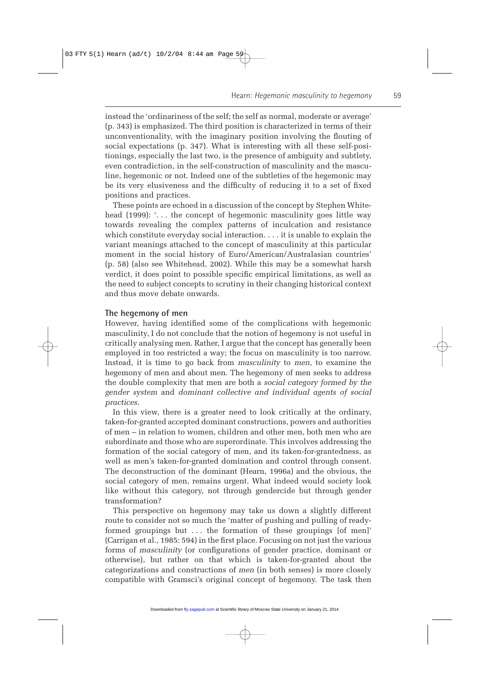instead the 'ordinariness of the self; the self as normal, moderate or average' (p. 343) is emphasized. The third position is characterized in terms of their unconventionality, with the imaginary position involving the flouting of social expectations (p. 347). What is interesting with all these self-positionings, especially the last two, is the presence of ambiguity and subtlety, even contradiction, in the self-construction of masculinity and the masculine, hegemonic or not. Indeed one of the subtleties of the hegemonic may be its very elusiveness and the difficulty of reducing it to a set of fixed positions and practices.

These points are echoed in a discussion of the concept by Stephen Whitehead (1999): '... the concept of hegemonic masculinity goes little way towards revealing the complex patterns of inculcation and resistance which constitute everyday social interaction. . . . it is unable to explain the variant meanings attached to the concept of masculinity at this particular moment in the social history of Euro/American/Australasian countries' (p. 58) (also see Whitehead, 2002). While this may be a somewhat harsh verdict, it does point to possible specific empirical limitations, as well as the need to subject concepts to scrutiny in their changing historical context and thus move debate onwards.

#### **The hegemony of men**

However, having identified some of the complications with hegemonic masculinity, I do not conclude that the notion of hegemony is not useful in critically analysing men. Rather, I argue that the concept has generally been employed in too restricted a way; the focus on masculinity is too narrow. Instead, it is time to go back from *masculinity* to *men*, to examine the hegemony of men and about men. The hegemony of men seeks to address the double complexity that men are both a *social category formed by the gender system* and *dominant collective and individual agents of social practices*.

In this view, there is a greater need to look critically at the ordinary, taken-for-granted accepted dominant constructions, powers and authorities of men – in relation to women, children and other men, both men who are subordinate and those who are superordinate. This involves addressing the formation of the social category of men, and its taken-for-grantedness, as well as men's taken-for-granted domination and control through consent. The deconstruction of the dominant (Hearn, 1996a) and the obvious, the social category of men, remains urgent. What indeed would society look like without this category, not through gendercide but through gender transformation?

This perspective on hegemony may take us down a slightly different route to consider not so much the 'matter of pushing an[d pulling](http://fty.sagepub.com/) of readyformed groupings but . . . the formation of these groupings [of men]' (Carrigan et al., 1985: 594) in the first place. Focusing on not just the various forms of *masculinity* (or configurations of gender practice, dominant or otherwise), but rather on that which is taken-for-granted about the categorizations and constructions of *men* (in both senses) is more closely compatible with Gramsci's original concept of hegemony. The task then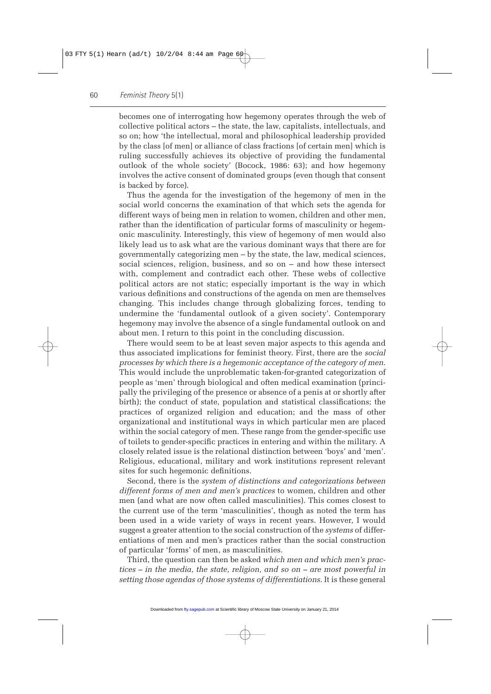becomes one of interrogating how hegemony operates through the web of collective political actors – the state, the law, capitalists, intellectuals, and so on; how 'the intellectual, moral and philosophical leadership provided by the class [of men] or alliance of class fractions [of certain men] which is ruling successfully achieves its objective of providing the fundamental outlook of the whole society' (Bocock, 1986: 63); and how hegemony involves the active consent of dominated groups (even though that consent is backed by force).

Thus the agenda for the investigation of the hegemony of men in the social world concerns the examination of that which sets the agenda for different ways of being men in relation to women, children and other men, rather than the identification of particular forms of masculinity or hegemonic masculinity. Interestingly, this view of hegemony of men would also likely lead us to ask what are the various dominant ways that there are for governmentally categorizing men – by the state, the law, medical sciences, social sciences, religion, business, and so on – and how these intersect with, complement and contradict each other. These webs of collective political actors are not static; especially important is the way in which various definitions and constructions of the agenda on men are themselves changing. This includes change through globalizing forces, tending to undermine the 'fundamental outlook of a given society'. Contemporary hegemony may involve the absence of a single fundamental outlook on and about men. I return to this point in the concluding discussion.

There would seem to be at least seven major aspects to this agenda and thus associated implications for feminist theory. First, there are the *social processes by which there is a hegemonic acceptance of the category of men*. This would include the unproblematic taken-for-granted categorization of people as 'men' through biological and often medical examination (principally the privileging of the presence or absence of a penis at or shortly after birth); the conduct of state, population and statistical classifications; the practices of organized religion and education; and the mass of other organizational and institutional ways in which particular men are placed within the social category of men. These range from the gender-specific use of toilets to gender-specific practices in entering and within the military. A closely related issue is the relational distinction between 'boys' and 'men'. Religious, educational, military and work institutions represent relevant sites for such hegemonic definitions.

Second, there is the *system of distinctions and categorizations between different forms of men and men's practices* to women, children and other men (and what are now often called masculinities). This comes closest to the current use of the term 'masculinities', though as noted the term has been used in a wide variety of ways in recent ye[ars. Howe](http://fty.sagepub.com/)ver, I would suggest a greater attention to the social construction of the *systems* of differentiations of men and men's practices rather than the social construction of particular 'forms' of men, as masculinities.

Third, the question can then be asked *which men and which men's practices – in the media, the state, religion, and so on – are most powerful in setting those agendas of those systems of differentiations*. It is these general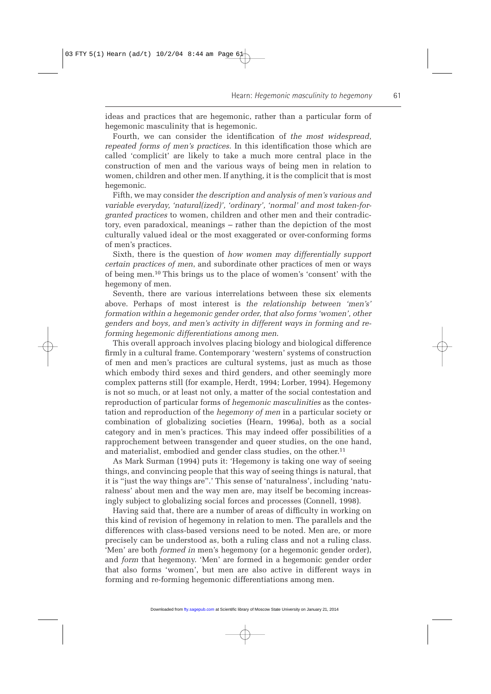ideas and practices that are hegemonic, rather than a particular form of hegemonic masculinity that is hegemonic.

Fourth, we can consider the identification of *the most widespread, repeated forms of men's practices*. In this identification those which are called 'complicit' are likely to take a much more central place in the construction of men and the various ways of being men in relation to women, children and other men. If anything, it is the complicit that is most hegemonic.

Fifth, we may consider *the description and analysis of men's various and variable everyday, 'natural(ized)', 'ordinary', 'normal' and most taken-forgranted practices* to women, children and other men and their contradictory, even paradoxical, meanings – rather than the depiction of the most culturally valued ideal or the most exaggerated or over-conforming forms of men's practices.

Sixth, there is the question of *how women may differentially support certain practices of men*, and subordinate other practices of men or ways of being men.10 This brings us to the place of women's 'consent' with the hegemony of men.

Seventh, there are various interrelations between these six elements above. Perhaps of most interest is *the relationship between 'men's' formation within a hegemonic gender order, that also forms 'women', other genders and boys, and men's activity in different ways in forming and reforming hegemonic differentiations among men*.

This overall approach involves placing biology and biological difference firmly in a cultural frame. Contemporary 'western' systems of construction of men and men's practices are cultural systems, just as much as those which embody third sexes and third genders, and other seemingly more complex patterns still (for example, Herdt, 1994; Lorber, 1994). Hegemony is not so much, or at least not only, a matter of the social contestation and reproduction of particular forms of *hegemonic masculinities* as the contestation and reproduction of the *hegemony of men* in a particular society or combination of globalizing societies (Hearn, 1996a), both as a social category and in men's practices. This may indeed offer possibilities of a rapprochement between transgender and queer studies, on the one hand, and materialist, embodied and gender class studies, on the other.<sup>11</sup>

As Mark Surman (1994) puts it: 'Hegemony is taking one way of seeing things, and convincing people that this way of seeing things is natural, that it is "just the way things are".' This sense of 'naturalness', including 'naturalness' about men and the way men are, may itself be becoming increasingly subject to globalizing social forces and processes (Connell, 1998).

Having said that, there are a number of areas of difficulty in working on this kind of revision of hegemony in relation to men. T[he parallel](http://fty.sagepub.com/)s and the differences with class-based versions need to be noted. Men are, or more precisely can be understood as, both a ruling class and not a ruling class. 'Men' are both *formed in* men's hegemony (or a hegemonic gender order), and *form* that hegemony. 'Men' are formed in a hegemonic gender order that also forms 'women', but men are also active in different ways in forming and re-forming hegemonic differentiations among men.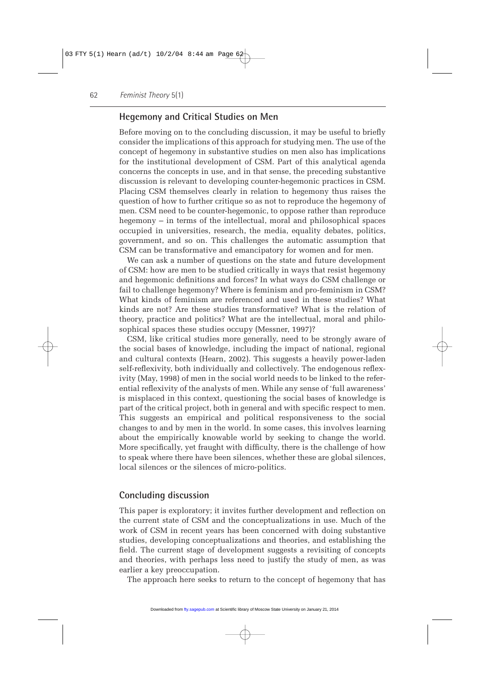# **Hegemony and Critical Studies on Men**

Before moving on to the concluding discussion, it may be useful to briefly consider the implications of this approach for studying men. The use of the concept of hegemony in substantive studies on men also has implications for the institutional development of CSM. Part of this analytical agenda concerns the concepts in use, and in that sense, the preceding substantive discussion is relevant to developing counter-hegemonic practices in CSM. Placing CSM themselves clearly in relation to hegemony thus raises the question of how to further critique so as not to reproduce the hegemony of men. CSM need to be counter-hegemonic, to oppose rather than reproduce hegemony – in terms of the intellectual, moral and philosophical spaces occupied in universities, research, the media, equality debates, politics, government, and so on. This challenges the automatic assumption that CSM can be transformative and emancipatory for women and for men.

We can ask a number of questions on the state and future development of CSM: how are men to be studied critically in ways that resist hegemony and hegemonic definitions and forces? In what ways do CSM challenge or fail to challenge hegemony? Where is feminism and pro-feminism in CSM? What kinds of feminism are referenced and used in these studies? What kinds are not? Are these studies transformative? What is the relation of theory, practice and politics? What are the intellectual, moral and philosophical spaces these studies occupy (Messner, 1997)?

CSM, like critical studies more generally, need to be strongly aware of the social bases of knowledge, including the impact of national, regional and cultural contexts (Hearn, 2002). This suggests a heavily power-laden self-reflexivity, both individually and collectively. The endogenous reflexivity (May, 1998) of men in the social world needs to be linked to the referential reflexivity of the analysts of men. While any sense of 'full awareness' is misplaced in this context, questioning the social bases of knowledge is part of the critical project, both in general and with specific respect to men. This suggests an empirical and political responsiveness to the social changes to and by men in the world. In some cases, this involves learning about the empirically knowable world by seeking to change the world. More specifically, yet fraught with difficulty, there is the challenge of how to speak where there have been silences, whether these are global silences, local silences or the silences of micro-politics.

# **Concluding discussion**

This paper is exploratory; it invites further development and reflection on the current state of CSM and the conceptualizatio[ns in use.](http://fty.sagepub.com/) Much of the work of CSM in recent years has been concerned with doing substantive studies, developing conceptualizations and theories, and establishing the field. The current stage of development suggests a revisiting of concepts and theories, with perhaps less need to justify the study of men, as was earlier a key preoccupation.

The approach here seeks to return to the concept of hegemony that has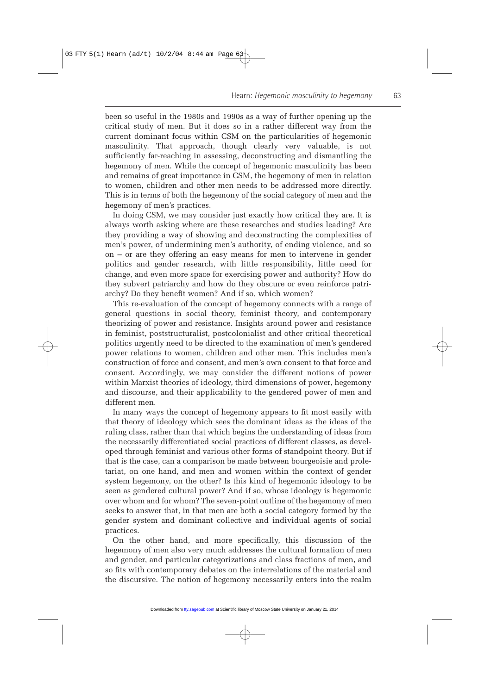been so useful in the 1980s and 1990s as a way of further opening up the critical study of men. But it does so in a rather different way from the current dominant focus within CSM on the particularities of hegemonic masculinity. That approach, though clearly very valuable, is not sufficiently far-reaching in assessing, deconstructing and dismantling the hegemony of men. While the concept of hegemonic masculinity has been and remains of great importance in CSM, the hegemony of men in relation to women, children and other men needs to be addressed more directly. This is in terms of both the hegemony of the social category of men and the hegemony of men's practices.

In doing CSM, we may consider just exactly how critical they are. It is always worth asking where are these researches and studies leading? Are they providing a way of showing and deconstructing the complexities of men's power, of undermining men's authority, of ending violence, and so on – or are they offering an easy means for men to intervene in gender politics and gender research, with little responsibility, little need for change, and even more space for exercising power and authority? How do they subvert patriarchy and how do they obscure or even reinforce patriarchy? Do they benefit women? And if so, which women?

This re-evaluation of the concept of hegemony connects with a range of general questions in social theory, feminist theory, and contemporary theorizing of power and resistance. Insights around power and resistance in feminist, poststructuralist, postcolonialist and other critical theoretical politics urgently need to be directed to the examination of men's gendered power relations to women, children and other men. This includes men's construction of force and consent, and men's own consent to that force and consent. Accordingly, we may consider the different notions of power within Marxist theories of ideology, third dimensions of power, hegemony and discourse, and their applicability to the gendered power of men and different men.

In many ways the concept of hegemony appears to fit most easily with that theory of ideology which sees the dominant ideas as the ideas of the ruling class, rather than that which begins the understanding of ideas from the necessarily differentiated social practices of different classes, as developed through feminist and various other forms of standpoint theory. But if that is the case, can a comparison be made between bourgeoisie and proletariat, on one hand, and men and women within the context of gender system hegemony, on the other? Is this kind of hegemonic ideology to be seen as gendered cultural power? And if so, whose ideology is hegemonic over whom and for whom? The seven-point outline of the hegemony of men seeks to answer that, in that men are both a social category formed by the gender system and dominant collective and individu[al agents](http://fty.sagepub.com/) of social practices.

On the other hand, and more specifically, this discussion of the hegemony of men also very much addresses the cultural formation of men and gender, and particular categorizations and class fractions of men, and so fits with contemporary debates on the interrelations of the material and the discursive. The notion of hegemony necessarily enters into the realm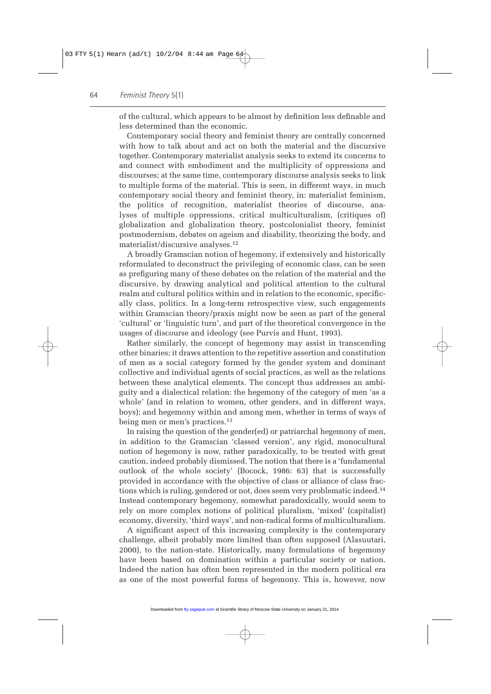of the cultural, which appears to be almost by definition less definable and less determined than the economic.

Contemporary social theory and feminist theory are centrally concerned with how to talk about and act on both the material and the discursive together. Contemporary materialist analysis seeks to extend its concerns to and connect with embodiment and the multiplicity of oppressions and discourses; at the same time, contemporary discourse analysis seeks to link to multiple forms of the material. This is seen, in different ways, in much contemporary social theory and feminist theory, in: materialist feminism, the politics of recognition, materialist theories of discourse, analyses of multiple oppressions, critical multiculturalism, (critiques of) globalization and globalization theory, postcolonialist theory, feminist postmodernism, debates on ageism and disability, theorizing the body, and materialist/discursive analyses.12

A broadly Gramscian notion of hegemony, if extensively and historically reformulated to deconstruct the privileging of economic class, can be seen as prefiguring many of these debates on the relation of the material and the discursive, by drawing analytical and political attention to the cultural realm and cultural politics within and in relation to the economic, specifically class, politics. In a long-term retrospective view, such engagements within Gramscian theory/praxis might now be seen as part of the general 'cultural' or 'linguistic turn', and part of the theoretical convergence in the usages of discourse and ideology (see Purvis and Hunt, 1993).

Rather similarly, the concept of hegemony may assist in transcending other binaries; it draws attention to the repetitive assertion and constitution of men as a social category formed by the gender system and dominant collective and individual agents of social practices, as well as the relations between these analytical elements. The concept thus addresses an ambiguity and a dialectical relation: the hegemony of the category of men 'as a whole' (and in relation to women, other genders, and in different ways, boys); and hegemony within and among men, whether in terms of ways of being men or men's practices.<sup>13</sup>

In raising the question of the gender(ed) or patriarchal hegemony of men, in addition to the Gramscian 'classed version', any rigid, monocultural notion of hegemony is now, rather paradoxically, to be treated with great caution, indeed probably dismissed. The notion that there is a 'fundamental outlook of the whole society' (Bocock, 1986: 63) that is successfully provided in accordance with the objective of class or alliance of class fractions which is ruling, gendered or not, does seem very problematic indeed.14 Instead contemporary hegemony, somewhat paradoxically, would seem to rely on more complex notions of political pluralism, 'mixed' (capitalist) economy, diversity, 'third ways', and non-radical for[ms of mult](http://fty.sagepub.com/)iculturalism.

A significant aspect of this increasing complexity is the contemporary challenge, albeit probably more limited than often supposed (Alasuutari, 2000), to the nation-state. Historically, many formulations of hegemony have been based on domination within a particular society or nation. Indeed the nation has often been represented in the modern political era as one of the most powerful forms of hegemony. This is, however, now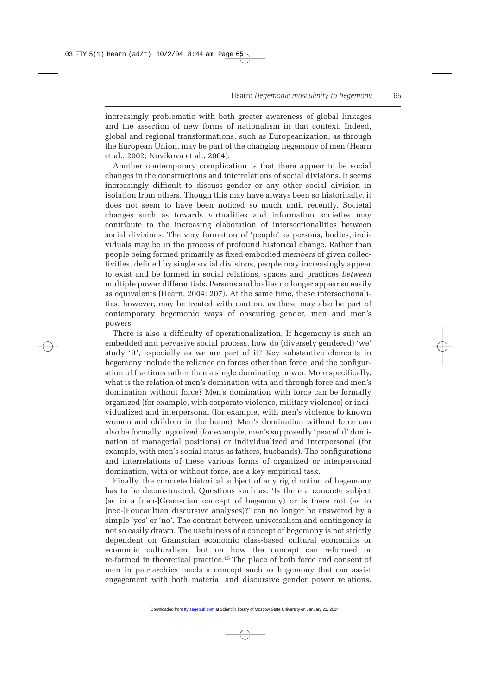increasingly problematic with both greater awareness of global linkages and the assertion of new forms of nationalism in that context. Indeed, global and regional transformations, such as Europeanization, as through the European Union, may be part of the changing hegemony of men (Hearn et al., 2002; Novikova et al., 2004).

Another contemporary complication is that there appear to be social changes in the constructions and interrelations of social divisions. It seems increasingly difficult to discuss gender or any other social division in isolation from others. Though this may have always been so historically, it does not seem to have been noticed so much until recently. Societal changes such as towards virtualities and information societies may contribute to the increasing elaboration of intersectionalities between social divisions. The very formation of 'people' as persons, bodies, individuals may be in the process of profound historical change. Rather than people being formed primarily as fixed embodied *members* of given collectivities, defined by single social divisions, people may increasingly appear to exist and be formed in social relations, spaces and practices *between* multiple power differentials. Persons and bodies no longer appear so easily as equivalents (Hearn, 2004: 207). At the same time, these intersectionalities, however, may be treated with caution, as these may also be part of contemporary hegemonic ways of obscuring gender, men and men's powers.

There is also a difficulty of operationalization. If hegemony is such an embedded and pervasive social process, how do (diversely gendered) 'we' study 'it', especially as we are part of it? Key substantive elements in hegemony include the reliance on forces other than force, and the configuration of fractions rather than a single dominating power. More specifically, what is the relation of men's domination with and through force and men's domination without force? Men's domination with force can be formally organized (for example, with corporate violence, military violence) or individualized and interpersonal (for example, with men's violence to known women and children in the home). Men's domination without force can also be formally organized (for example, men's supposedly 'peaceful' domination of managerial positions) or individualized and interpersonal (for example, with men's social status as fathers, husbands). The configurations and interrelations of these various forms of organized or interpersonal domination, with or without force, are a key empirical task.

Finally, the concrete historical subject of any rigid notion of hegemony has to be deconstructed. Questions such as: 'Is there a concrete subject (as in a [neo-]Gramscian concept of hegemony) or is there not (as in [neo-]Foucaultian discursive analyses)?' can no longer be answered by a simple 'yes' or 'no'. The contrast between universalism [and contin](http://fty.sagepub.com/)gency is not so easily drawn. The usefulness of a concept of hegemony is not strictly dependent on Gramscian economic class-based cultural economics or economic culturalism, but on how the concept can reformed or re-formed in theoretical practice.15 The place of both force and consent of men in patriarchies needs a concept such as hegemony that can assist engagement with both material and discursive gender power relations.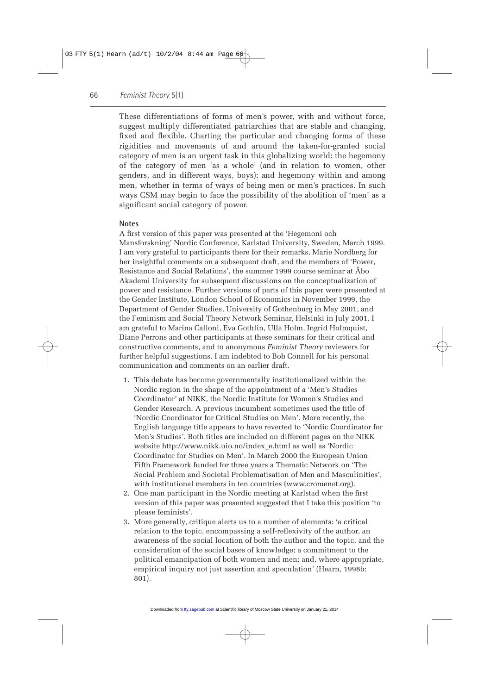These differentiations of forms of men's power, with and without force, suggest multiply differentiated patriarchies that are stable and changing, fixed and flexible. Charting the particular and changing forms of these rigidities and movements of and around the taken-for-granted social category of men is an urgent task in this globalizing world: the hegemony of the category of men 'as a whole' (and in relation to women, other genders, and in different ways, boys); and hegemony within and among men, whether in terms of ways of being men or men's practices. In such ways CSM may begin to face the possibility of the abolition of 'men' as a significant social category of power.

#### **Notes**

A first version of this paper was presented at the 'Hegemoni och Mansforskning' Nordic Conference, Karlstad University, Sweden, March 1999. I am very grateful to participants there for their remarks, Marie Nordberg for her insightful comments on a subsequent draft, and the members of 'Power, Resistance and Social Relations', the summer 1999 course seminar at Åbo Akademi University for subsequent discussions on the conceptualization of power and resistance. Further versions of parts of this paper were presented at the Gender Institute, London School of Economics in November 1999, the Department of Gender Studies, University of Gothenburg in May 2001, and the Feminism and Social Theory Network Seminar, Helsinki in July 2001. I am grateful to Marina Calloni, Eva Gothlin, Ulla Holm, Ingrid Holmquist, Diane Perrons and other participants at these seminars for their critical and constructive comments, and to anonymous *Feminist Theory* reviewers for further helpful suggestions. I am indebted to Bob Connell for his personal communication and comments on an earlier draft.

- 11. This debate has become governmentally institutionalized within the Nordic region in the shape of the appointment of a 'Men's Studies Coordinator' at NIKK, the Nordic Institute for Women's Studies and Gender Research. A previous incumbent sometimes used the title of 'Nordic Coordinator for Critical Studies on Men'. More recently, the English language title appears to have reverted to 'Nordic Coordinator for Men's Studies'. Both titles are included on different pages on the NIKK website http://www.nikk.uio.no/index\_e.html as well as 'Nordic Coordinator for Studies on Men'. In March 2000 the European Union Fifth Framework funded for three years a Thematic Network on 'The Social Problem and Societal Problematisation of Men and Masculinities', with institutional members in ten countries (www.cromenet.org).
- 12. One man participant in the Nordic meeting at Karlstad when the first version of this paper was presented suggested that I take this position 'to please feminists'.
- 13. More generally, critique alerts us to a number of e[lements: 'a](http://fty.sagepub.com/) critical relation to the topic, encompassing a self-reflexivity of the author, an awareness of the social location of both the author and the topic, and the consideration of the social bases of knowledge; a commitment to the political emancipation of both women and men; and, where appropriate, empirical inquiry not just assertion and speculation' (Hearn, 1998b: 801).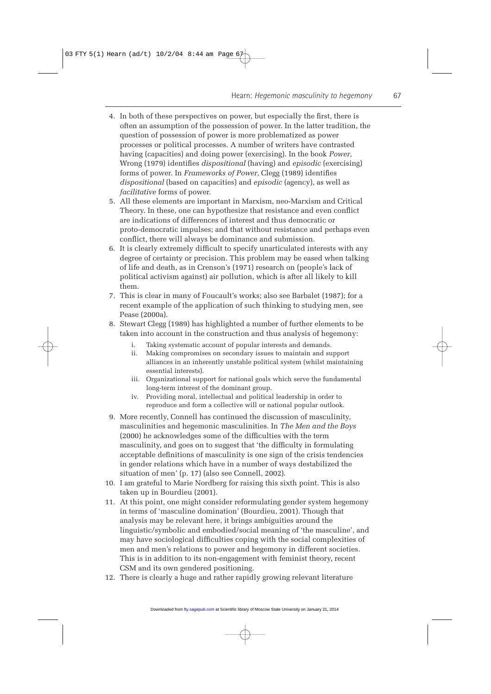- 14. In both of these perspectives on power, but especially the first, there is often an assumption of the possession of power. In the latter tradition, the question of possession of power is more problematized as power processes or political processes. A number of writers have contrasted having (capacities) and doing power (exercising). In the book *Power*, Wrong (1979) identifies *dispositional* (having) and *episodic* (exercising) forms of power. In *Frameworks of Power*, Clegg (1989) identifies *dispositional* (based on capacities) and *episodic* (agency), as well as *facilitative* forms of power.
- 15. All these elements are important in Marxism, neo-Marxism and Critical Theory. In these, one can hypothesize that resistance and even conflict are indications of differences of interest and thus democratic or proto-democratic impulses; and that without resistance and perhaps even conflict, there will always be dominance and submission.
- 16. It is clearly extremely difficult to specify unarticulated interests with any degree of certainty or precision. This problem may be eased when talking of life and death, as in Crenson's (1971) research on (people's lack of political activism against) air pollution, which is after all likely to kill them.
- 17. This is clear in many of Foucault's works; also see Barbalet (1987); for a recent example of the application of such thinking to studying men, see Pease (2000a).
- 18. Stewart Clegg (1989) has highlighted a number of further elements to be taken into account in the construction and thus analysis of hegemony:
	- i. Taking systematic account of popular interests and demands.
	- ii. Making compromises on secondary issues to maintain and support alliances in an inherently unstable political system (whilst maintaining essential interests).
	- iii. Organizational support for national goals which serve the fundamental long-term interest of the dominant group.
	- iv. Providing moral, intellectual and political leadership in order to reproduce and form a collective will or national popular outlook.
- 19. More recently, Connell has continued the discussion of masculinity, masculinities and hegemonic masculinities. In *The Men and the Boys* (2000) he acknowledges some of the difficulties with the term masculinity, and goes on to suggest that 'the difficulty in formulating acceptable definitions of masculinity is one sign of the crisis tendencies in gender relations which have in a number of ways destabilized the situation of men' (p. 17) (also see Connell, 2002).
- 10. I am grateful to Marie Nordberg for raising this sixth point. This is also taken up in Bourdieu (2001).
- 11. At this point, one might consider reformulating gender system hegemony in terms of 'masculine domination' (Bourdieu, 2001). Though that analysis may be relevant here, it brings ambiguities ar[ound the](http://fty.sagepub.com/) linguistic/symbolic and embodied/social meaning of 'the masculine', and may have sociological difficulties coping with the social complexities of men and men's relations to power and hegemony in different societies. This is in addition to its non-engagement with feminist theory, recent CSM and its own gendered positioning.
- 12. There is clearly a huge and rather rapidly growing relevant literature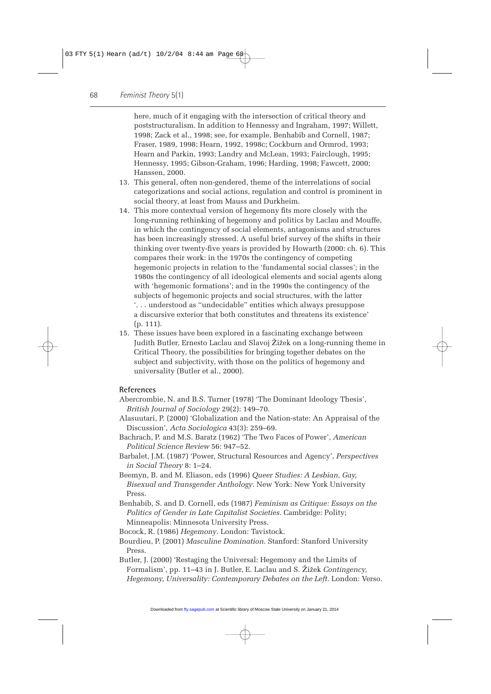here, much of it engaging with the intersection of critical theory and poststructuralism. In addition to Hennessy and Ingraham, 1997; Willett, 1998; Zack et al., 1998; see, for example, Benhabib and Cornell, 1987; Fraser, 1989, 1998; Hearn, 1992, 1998c; Cockburn and Ormrod, 1993; Hearn and Parkin, 1993; Landry and McLean, 1993; Fairclough, 1995; Hennessy, 1995; Gibson-Graham, 1996; Harding, 1998; Fawcett, 2000; Hanssen, 2000.

- 13. This general, often non-gendered, theme of the interrelations of social categorizations and social actions, regulation and control is prominent in social theory, at least from Mauss and Durkheim.
- 14. This more contextual version of hegemony fits more closely with the long-running rethinking of hegemony and politics by Laclau and Mouffe, in which the contingency of social elements, antagonisms and structures has been increasingly stressed. A useful brief survey of the shifts in their thinking over twenty-five years is provided by Howarth (2000: ch. 6). This compares their work: in the 1970s the contingency of competing hegemonic projects in relation to the 'fundamental social classes'; in the 1980s the contingency of all ideological elements and social agents along with 'hegemonic formations'; and in the 1990s the contingency of the subjects of hegemonic projects and social structures, with the latter '. . . understood as "undecidable" entities which always presuppose a discursive exterior that both constitutes and threatens its existence' (p. 111).
- 15. These issues have been explored in a fascinating exchange between Judith Butler, Ernesto Laclau and Slavoj Žižek on a long-running theme in Critical Theory, the possibilities for bringing together debates on the subject and subjectivity, with those on the politics of hegemony and universality (Butler et al., 2000).

#### **References**

- Abercrombie, N. and B.S. Turner (1978) 'The Dominant Ideology Thesis', *British Journal of Sociology* 29(2): 149–70.
- Alasuutari, P. (2000) 'Globalization and the Nation-state: An Appraisal of the Discussion', *Acta Sociologica* 43(3): 259–69.
- Bachrach, P. and M.S. Baratz (1962) 'The Two Faces of Power', *American Political Science Review* 56: 947–52.
- Barbalet, J.M. (1987) 'Power, Structural Resources and Agency', *Perspectives in Social Theory* 8: 1–24.
- Beemyn, B. and M. Eliason, eds (1996) *Queer Studies: A Lesbian, Gay, Bisexual and Transgender Anthology*. New York: New York University Press.
- Benhabib, S. and D. Cornell, eds (1987) *Feminism as Critique: Essays on the Politics of Gender in Late Capitalist Societies*. Cambridge: Polity; Minneapolis: Minnesota University Press.
- Bocock, R. (1986) *Hegemony*. London: Tavistock.
- Bourdieu, P. (2001) *Masculine Domination*. Stanford: Stanford University Press.
- Butler, J. (2000) 'Restaging the Universal: Hegemony and the Limits of Formalism', pp. 11–43 in J. Butler, E. Laclau and S. Žižek *Contingency, Hegemony, Universality: Contemporary Debates on the Left*. London: Verso.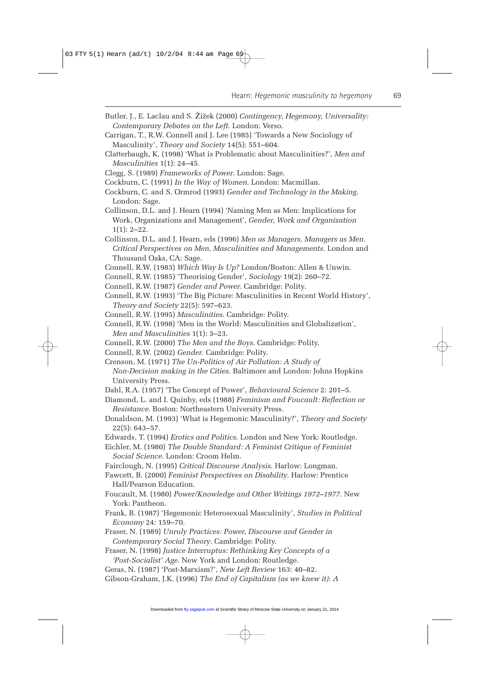- Butler, J., E. Laclau and S. Žižek (2000) *Contingency, Hegemony, Universality: Contemporary Debates on the Left*. London: Verso.
- Carrigan, T., R.W. Connell and J. Lee (1985) 'Towards a New Sociology of Masculinity', *Theory and Society* 14(5): 551–604.
- Clatterbaugh, K. (1998) 'What is Problematic about Masculinities?', *Men and Masculinities* 1(1): 24–45.
- Clegg, S. (1989) *Frameworks of Power*. London: Sage.
- Cockburn, C. (1991) *In the Way of Women*. London: Macmillan.
- Cockburn, C. and S. Ormrod (1993) *Gender and Technology in the Making*. London: Sage.
- Collinson, D.L. and J. Hearn (1994) 'Naming Men as Men: Implications for Work, Organizations and Management', *Gender, Work and Organization* 1(1): 2–22.
- Collinson, D.L. and J. Hearn, eds (1996) *Men as Managers, Managers as Men. Critical Perspectives on Men, Masculinities and Managements*. London and Thousand Oaks, CA: Sage.
- Connell, R.W. (1983) *Which Way Is Up?* London/Boston: Allen & Unwin.
- Connell, R.W. (1985) 'Theorising Gender', *Sociology* 19(2): 260–72.
- Connell, R.W. (1987) *Gender and Power*. Cambridge: Polity.
- Connell, R.W. (1993) 'The Big Picture: Masculinities in Recent World History', *Theory and Society* 22(5): 597–623.
- Connell, R.W. (1995) *Masculinities*. Cambridge: Polity.
- Connell, R.W. (1998) 'Men in the World: Masculinities and Globalization', *Men and Masculinities* 1(1): 3–23.
- Connell, R.W. (2000) *The Men and the Boys*. Cambridge: Polity.
- Connell, R.W. (2002) *Gender*. Cambridge: Polity.
- Crenson, M. (1971) *The Un-Politics of Air Pollution: A Study of Non-Decision making in the Cities*. Baltimore and London: Johns Hopkins University Press.
- Dahl, R.A. (1957) 'The Concept of Power', *Behavioural Science* 2: 201–5.
- Diamond, L. and I. Quinby, eds (1988) *Feminism and Foucault: Reflection or Resistance*. Boston: Northeastern University Press.
- Donaldson, M. (1993) 'What is Hegemonic Masculinity?', *Theory and Society* 22(5): 643–57.
- Edwards, T. (1994) *Erotics and Politics*. London and New York: Routledge.
- Eichler, M. (1980) *The Double Standard: A Feminist Critique of Feminist Social Science*. London: Croom Helm.
- Fairclough, N. (1995) *Critical Discourse Analysis*. Harlow: Longman.
- Fawcett, B. (2000) *Feminist Perspectives on Disability*. Harlow: Prentice Hall/Pearson Education.
- Foucault, M. (1980) *Power/Knowledge and Other Writings 1972–1977*. New York: Pantheon.
- Frank, B. (1987) 'Hegemonic Heterosexual Masculinity', *Studies in Political Economy* 24: 159–70.
- Fraser, N. (1989) *Unruly Practices: Power, Discourse and Gender in Contemporary Social Theory*. Cambridge: Polity.
- Fraser, N. (1998) *Justice Interruptus: Rethinking Key Concepts of a 'Post-Socialist' Age*. New York and London: Routledge.
- Geras, N. (1987) 'Post-Marxism?', *New Left Review* 163: 40–82.
- Gibson-Graham, J.K. (1996) *The End of Capitalism (as we knew it)*: *A*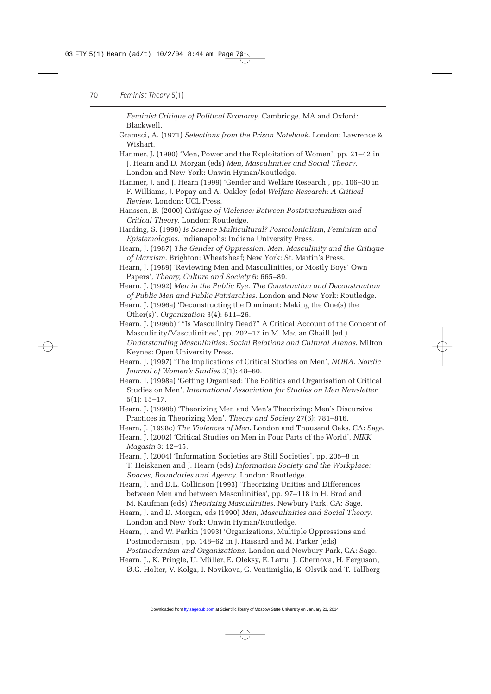*Feminist Critique of Political Economy*. Cambridge, MA and Oxford: Blackwell.

- Gramsci, A. (1971) *Selections from the Prison Notebook*. London: Lawrence & Wishart.
- Hanmer, J. (1990) 'Men, Power and the Exploitation of Women', pp. 21–42 in J. Hearn and D. Morgan (eds) *Men, Masculinities and Social Theory*. London and New York: Unwin Hyman/Routledge.

Hanmer, J. and J. Hearn (1999) 'Gender and Welfare Research', pp. 106–30 in F. Williams, J. Popay and A. Oakley (eds) *Welfare Research: A Critical Review*. London: UCL Press.

- Hanssen, B. (2000) *Critique of Violence: Between Poststructuralism and Critical Theory*. London: Routledge.
- Harding, S. (1998) *Is Science Multicultural? Postcolonialism, Feminism and Epistemologies*. Indianapolis: Indiana University Press.
- Hearn, J. (1987) *The Gender of Oppression. Men, Masculinity and the Critique of Marxism*. Brighton: Wheatsheaf; New York: St. Martin's Press.
- Hearn, J. (1989) 'Reviewing Men and Masculinities, or Mostly Boys' Own Papers', *Theory, Culture and Society* 6: 665–89.
- Hearn, J. (1992) *Men in the Public Eye. The Construction and Deconstruction of Public Men and Public Patriarchies*. London and New York: Routledge.
- Hearn, J. (1996a) 'Deconstructing the Dominant: Making the One(s) the Other(s)', *Organization* 3(4): 611–26.
- Hearn, J. (1996b) ' "Is Masculinity Dead?" A Critical Account of the Concept of Masculinity/Masculinities', pp. 202–17 in M. Mac an Ghaill (ed.) *Understanding Masculinities: Social Relations and Cultural Arenas*. Milton Keynes: Open University Press.
- Hearn, J. (1997) 'The Implications of Critical Studies on Men', *NORA. Nordic Journal of Women's Studies* 3(1): 48–60.
- Hearn, J. (1998a) 'Getting Organised: The Politics and Organisation of Critical Studies on Men', *International Association for Studies on Men Newsletter* 5(1): 15–17.
- Hearn, J. (1998b) 'Theorizing Men and Men's Theorizing: Men's Discursive Practices in Theorizing Men', *Theory and Society* 27(6): 781–816.
- Hearn, J. (1998c) *The Violences of Men*. London and Thousand Oaks, CA: Sage.
- Hearn, J. (2002) 'Critical Studies on Men in Four Parts of the World', *NIKK Magasin* 3: 12–15.
- Hearn, J. (2004) 'Information Societies are Still Societies', pp. 205–8 in T. Heiskanen and J. Hearn (eds) *Information Society and the Workplace: Spaces, Boundaries and Agency*. London: Routledge.
- Hearn, J. and D.L. Collinson (1993) 'Theorizing Unities and Differences between Men and between Masculinities', pp. 97–118 in H. Brod and M. Kaufman (eds) *Theorizing Masculinities*. Newbury Park, CA: Sage.
- Hearn, J. and D. Morgan, eds (1990) *Men, Masculinities and Social Theory*. London and New York: Unwin Hyman/Routledge.
- Hearn, J. and W. Parkin (1993) 'Organizations, Multiple Oppressions and Postmodernism', pp. 148–62 in J. Hassard and M. Parker (eds)
- *Postmodernism and Organizations*. London and Newbury Park, CA: Sage. Hearn, J., K. Pringle, U. Müller, E. Oleksy, E. Lattu, J. Chernova, H. Ferguson, Ø.G. Holter, V. Kolga, I. Novikova, C. Ventimiglia, E. Olsvik and T. Tallberg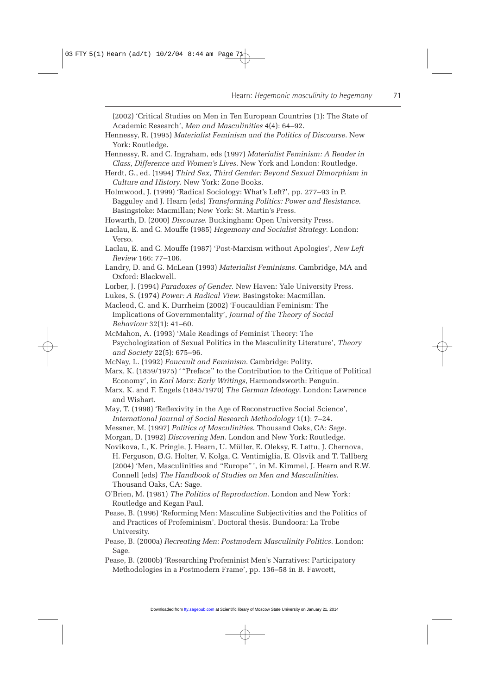(2002) 'Critical Studies on Men in Ten European Countries (1): The State of Academic Research', *Men and Masculinities* 4(4): 64–92.

- Hennessy, R. (1995) *Materialist Feminism and the Politics of Discourse*. New York: Routledge.
- Hennessy, R. and C. Ingraham, eds (1997) *Materialist Feminism: A Reader in Class, Difference and Women's Lives*. New York and London: Routledge.

Herdt, G., ed. (1994) *Third Sex, Third Gender: Beyond Sexual Dimorphism in Culture and History*. New York: Zone Books.

Holmwood, J. (1999) 'Radical Sociology: What's Left?', pp. 277–93 in P. Bagguley and J. Hearn (eds) *Transforming Politics: Power and Resistance*. Basingstoke: Macmillan; New York: St. Martin's Press.

- Howarth, D. (2000) *Discourse*. Buckingham: Open University Press.
- Laclau, E. and C. Mouffe (1985) *Hegemony and Socialist Strategy*. London: Verso.
- Laclau, E. and C. Mouffe (1987) 'Post-Marxism without Apologies', *New Left Review* 166: 77–106.
- Landry, D. and G. McLean (1993) *Materialist Feminisms*. Cambridge, MA and Oxford: Blackwell.
- Lorber, J. (1994) *Paradoxes of Gender*. New Haven: Yale University Press.
- Lukes, S. (1974) *Power: A Radical View*. Basingstoke: Macmillan.
- Macleod, C. and K. Durrheim (2002) 'Foucauldian Feminism: The Implications of Governmentality', *Journal of the Theory of Social Behaviour* 32(1): 41–60.
- McMahon, A. (1993) 'Male Readings of Feminist Theory: The Psychologization of Sexual Politics in the Masculinity Literature', *Theory and Society* 22(5): 675–96.
- McNay, L. (1992) *Foucault and Feminism*. Cambridge: Polity.
- Marx, K. (1859/1975) ' "Preface" to the Contribution to the Critique of Political Economy', in *Karl Marx: Early Writings*, Harmondsworth: Penguin.
- Marx, K. and F. Engels (1845/1970) *The German Ideology*. London: Lawrence and Wishart.
- May, T. (1998) 'Reflexivity in the Age of Reconstructive Social Science', *International Journal of Social Research Methodology* 1(1): 7–24.
- Messner, M. (1997) *Politics of Masculinities*. Thousand Oaks, CA: Sage.
- Morgan, D. (1992) *Discovering Men*. London and New York: Routledge.

Novikova, I., K. Pringle, J. Hearn, U. Müller, E. Oleksy, E. Lattu, J. Chernova, H. Ferguson, Ø.G. Holter, V. Kolga, C. Ventimiglia, E. Olsvik and T. Tallberg (2004) 'Men, Masculinities and "Europe" ', in M. Kimmel, J. Hearn and R.W. Connell (eds) *The Handbook of Studies on Men and Masculinities*. Thousand Oaks, CA: Sage.

- O'Brien, M. (1981) *The Politics of Reproduction*. London and New York: Routledge and Kegan Paul.
- Pease, B. (1996) 'Reforming Men: Masculine Subjectivities and the Politics of and Practices of Profeminism'. Doctoral thesis. Bundoor[a: La Trobe](http://fty.sagepub.com/) University.
- Pease, B. (2000a) *Recreating Men: Postmodern Masculinity Politics*. London: Sage.
- Pease, B. (2000b) 'Researching Profeminist Men's Narratives: Participatory Methodologies in a Postmodern Frame', pp. 136–58 in B. Fawcett,